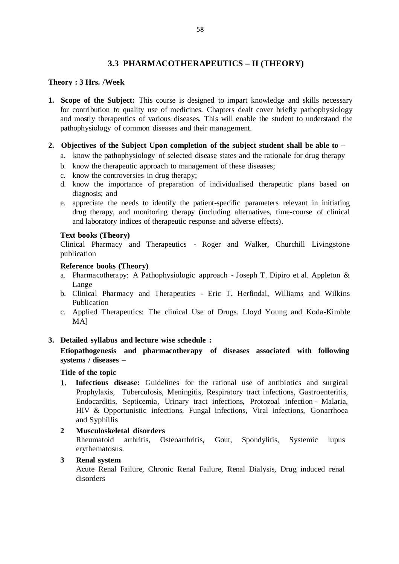# **3.3 PHARMACOTHERAPEUTICS – II (THEORY)**

## **Theory : 3 Hrs. /Week**

**1. Scope of the Subject:** This course is designed to impart knowledge and skills necessary for contribution to quality use of medicines. Chapters dealt cover briefly pathophysiology and mostly therapeutics of various diseases. This will enable the student to understand the pathophysiology of common diseases and their management.

## **2. Objectives of the Subject Upon completion of the subject student shall be able to –**

- a. know the pathophysiology of selected disease states and the rationale for drug therapy
- b. know the therapeutic approach to management of these diseases;
- c. know the controversies in drug therapy;
- d. know the importance of preparation of individualised therapeutic plans based on diagnosis; and
- e. appreciate the needs to identify the patient-specific parameters relevant in initiating drug therapy, and monitoring therapy (including alternatives, time-course of clinical and laboratory indices of therapeutic response and adverse effects).

## **Text books (Theory)**

Clinical Pharmacy and Therapeutics - Roger and Walker, Churchill Livingstone publication

## **Reference books (Theory)**

- a. Pharmacotherapy: A Pathophysiologic approach Joseph T. Dipiro et al. Appleton & Lange
- b. Clinical Pharmacy and Therapeutics Eric T. Herfindal, Williams and Wilkins Publication
- c. Applied Therapeutics: The clinical Use of Drugs. Lloyd Young and Koda-Kimble MA]

## **3. Detailed syllabus and lecture wise schedule :**

## **Etiopathogenesis and pharmacotherapy of diseases associated with following systems / diseases –**

## **Title of the topic**

- **1. Infectious disease:** Guidelines for the rational use of antibiotics and surgical Prophylaxis, Tuberculosis, Meningitis, Respiratory tract infections, Gastroenteritis, Endocarditis, Septicemia, Urinary tract infections, Protozoal infection - Malaria, HIV & Opportunistic infections, Fungal infections, Viral infections, Gonarrhoea and Syphillis
- **2 Musculoskeletal disorders**

Rheumatoid arthritis, Osteoarthritis, Gout, Spondylitis, Systemic lupus erythematosus.

## **3 Renal system**

Acute Renal Failure, Chronic Renal Failure, Renal Dialysis, Drug induced renal disorders